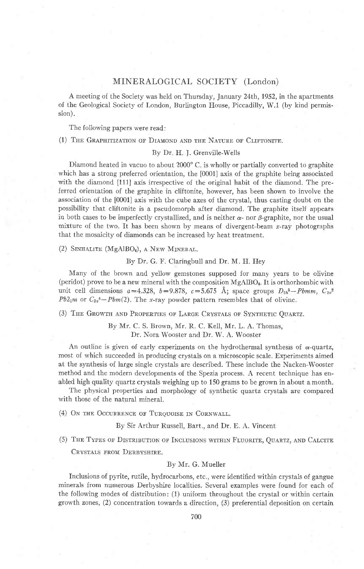# MINERALOGICAL SOCIETY (London)

A meeting of the Society was held on Thursday, January 24rh, 1952, in the apartments of the Geological Society of London, Burlington House, Piccadilly, W.l (by kind permission).

The following papers were read:

(1) THE GRAPHITIZATION OF DIAMOND AND THE NATURE OF CLIFTONITE.

## By Dr. H. J. Grenville-Wells

Diamond heated in vacuo to about 2000'C is wholly or partialiy converted to graphite which has a strong preferred orientation, the [0001] axis of the graphite being associated with the diamond [111] axis irrespective of the original habit of the diamond. The preferred orientation of the graphite in cliftonite, however, has been shown to involve the association of the [0001] axis with the cube axes of the crystal, thus casting doubt on the possibility that cliftonite is a pseudomorph after diamond. The graphite itself appears in both cases to be imperfectly crystallized, and is neither  $\alpha$ - nor  $\beta$ -graphite, nor the usual mixture of the two. It has been shown by means of divergent-beam  $x$ -ray photographs that the mosaicity of diamonds can be increased by heat treatment.

(2) SINHALITE (MgAlBO<sub>4</sub>), A NEW MINERAL.

By Dr. G. F. Claringbull and Dr. M. H. Hey

Many of the brown and yellow gemstones supposed for many years to be olivine  $(period)$  prove to be a new mineral with the composition  $MgAlBO<sub>4</sub>$ . It is orthorhombic with unit cell dimensions  $a=4.328$ ,  $b=9.878$ ,  $c=5.675$  Å; space groups  $D_{2h}$ <sup>5</sup>-Pbmm,  $C_{2v}$ <sup>2</sup> Pb2<sub>1</sub>m or  $C_{2v}$ <sup>4</sup>-Pbm(2). The x-ray powder pattern resembles that of olivine.

(3) THE GROWTH AND PROPERTIES OF LARGE CRYSTALS OF SYNTHETIC QUARTZ.

By Mr. C. S. Brown, Mr. R. C. Kell, Mr. L. A. Thomas, Dr. Nora Wooster and Dr. W. A. Wooster

An outline is given of early experiments on the hydrothermal synthesis of  $\alpha$ -quartz, most of which succeeded in producing crystals on a microscopic scale. Experiments aimed at the synthesis of iarge single crystals are described. These include the Nacken-Wooster method and the modern developments of the Spezia process. A recent technique has enabled high quality quartz crystals weighing up to 150 grams to be grown in about amonth.

The physical properties and morphology of synthetic quartz crystals are compared with those of the natural mineral.

(4) ON THE OCCURRENCE OF TURQUOISE IN CORNWALL.

By Sir Arthur Russell, Bart., and Dr. E. A. Vincent

(5) THE TYPES OF DISTRIBUTION OF INCLUSIONS WITHIN FLUORITE, QUARTZ, AND CALCITE CRYSTALS FROM DERBYSHIRE.

#### By Mr. G. Mueller

Inclusions of pyrite, rutile, hydrocarbons, etc., were identified within crystals of gangue minerals from numerous Derbyshire localities. Several examples were found for each of the following modes of distribution: (1) uniform throughout the crystal or within certain growth zones, (2) concentration towards a direction, (3) preferential deposition on certain